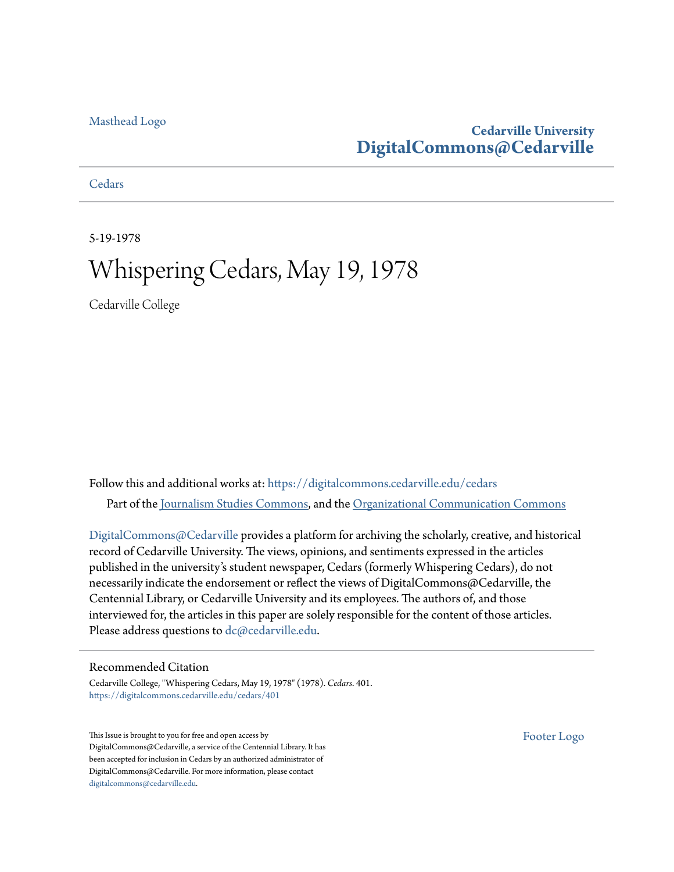#### [Masthead Logo](http://www.cedarville.edu/?utm_source=digitalcommons.cedarville.edu%2Fcedars%2F401&utm_medium=PDF&utm_campaign=PDFCoverPages)

#### **Cedarville University [DigitalCommons@Cedarville](https://digitalcommons.cedarville.edu?utm_source=digitalcommons.cedarville.edu%2Fcedars%2F401&utm_medium=PDF&utm_campaign=PDFCoverPages)**

**[Cedars](https://digitalcommons.cedarville.edu/cedars?utm_source=digitalcommons.cedarville.edu%2Fcedars%2F401&utm_medium=PDF&utm_campaign=PDFCoverPages)** 

5-19-1978

## Whispering Cedars, May 19, 1978

Cedarville College

Follow this and additional works at: [https://digitalcommons.cedarville.edu/cedars](https://digitalcommons.cedarville.edu/cedars?utm_source=digitalcommons.cedarville.edu%2Fcedars%2F401&utm_medium=PDF&utm_campaign=PDFCoverPages) Part of the [Journalism Studies Commons](http://network.bepress.com/hgg/discipline/333?utm_source=digitalcommons.cedarville.edu%2Fcedars%2F401&utm_medium=PDF&utm_campaign=PDFCoverPages), and the [Organizational Communication Commons](http://network.bepress.com/hgg/discipline/335?utm_source=digitalcommons.cedarville.edu%2Fcedars%2F401&utm_medium=PDF&utm_campaign=PDFCoverPages)

[DigitalCommons@Cedarville](http://digitalcommons.cedarville.edu/) provides a platform for archiving the scholarly, creative, and historical record of Cedarville University. The views, opinions, and sentiments expressed in the articles published in the university's student newspaper, Cedars (formerly Whispering Cedars), do not necessarily indicate the endorsement or reflect the views of DigitalCommons@Cedarville, the Centennial Library, or Cedarville University and its employees. The authors of, and those interviewed for, the articles in this paper are solely responsible for the content of those articles. Please address questions to [dc@cedarville.edu.](mailto:dc@cedarville.edu)

#### Recommended Citation

Cedarville College, "Whispering Cedars, May 19, 1978" (1978). *Cedars*. 401. [https://digitalcommons.cedarville.edu/cedars/401](https://digitalcommons.cedarville.edu/cedars/401?utm_source=digitalcommons.cedarville.edu%2Fcedars%2F401&utm_medium=PDF&utm_campaign=PDFCoverPages)

This Issue is brought to you for free and open access by DigitalCommons@Cedarville, a service of the Centennial Library. It has been accepted for inclusion in Cedars by an authorized administrator of DigitalCommons@Cedarville. For more information, please contact [digitalcommons@cedarville.edu](mailto:digitalcommons@cedarville.edu).

[Footer Logo](http://www.cedarville.edu/Academics/Library.aspx?utm_source=digitalcommons.cedarville.edu%2Fcedars%2F401&utm_medium=PDF&utm_campaign=PDFCoverPages)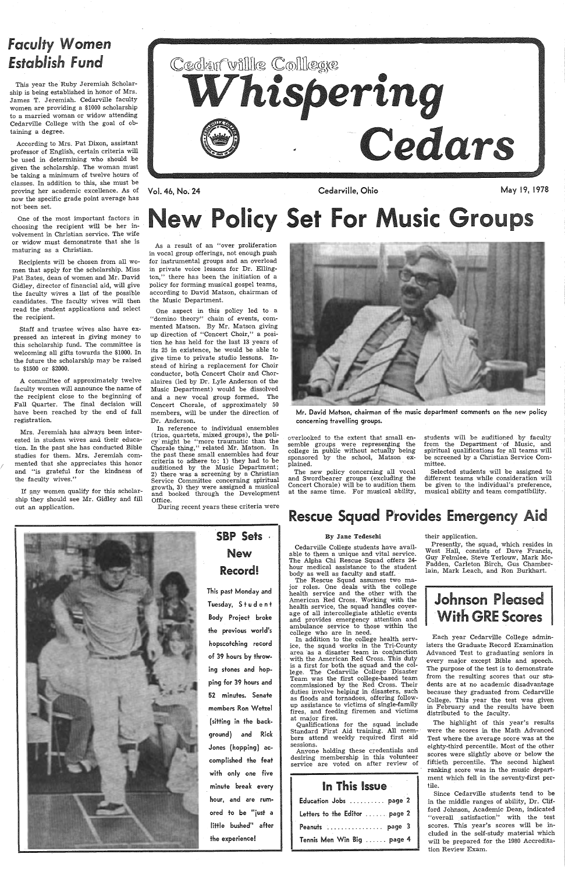*/* 

## *Faculty* Women *Establish Fund*

This year the Ruby Jeremiah Scholarship is being established in honor of Mrs. James T. Jeremiah. Cedarville faculty women are providing a \$1000 scholarship to a married woman or widow attending Cedarville College with the goal of obtaining a degree.

One of the most important factors in choosing the recipient will be her in-VOiVement in Christian service. The wife or widow must demonstrate that she is maturing as a Christian.

Recipients will be chosen from all women that apply for the scholarship. Miss Pat Bates, dean of women and Mr. David Gidley, director of financial aid, will give the faculty wives a list of the possible candidates. The faculty wives will then read the student applications and select the recipient.

According to Mrs. Pat Dixon, assistant professor of English, certain criteria will be used in determining who should be given the scholarship. The woman must be taking a minimum of twelve hours of classes. In addition to this, she must be proving her academic excellence. As of now the specific grade point average has not· been set.

If any women qualify for this scholarship they should see Mr. Gidley and fill out an application.



Staff and trustee wives also have expressed an interest in giving money to this scholarship fund. The committee is welcoming all gifts towards the \$1000. In the future the scholarship may be raised to \$1500 or \$2000.

A committee of approximately twelve faculty women will announce the name of the recipient close to the beginning of Fall Quarter. The final decision will have been reached by the end of fall registration.

Mrs. Jeremiah has always been interested in student wives and their education. In the past she has conducted Bible studies for them. Mrs. Jeremiah commented that she appreciates this honor and "is grateful for the kindness of the faculty wives."

Vol. 46, No. 24

Cedarville, Ohio May 19, 1978

# licy Set For Music Groups

overlooked to the extent that small ensemble groups were representing the college in public without actually being sponsored by the school, Matson explained.

As a result of an "over proliferation in vocal group offerings, not enough push for instrumental groups and an overload in private voice lessons for Dr. Ellington," there has been the initiation of a policy for forming musical gospel teams, according to David Matson, chairman of the Music Department.

> students will be auditioned by faculty from the Department of Music, and spiritual qualifications for all teams will be screened by a Christian Service Committee.

One aspect in this policy led to <sup>a</sup> "domino theory" chain of events, commented Matson. By Mr. Matson giving up direction of "Concert Choir," a position he has held for the last 13 years of its 25 in existence, he would be able to give time to private studio lessons. Instead of hiring a replacement for Choir conductor, both Concert Choir and Choralaires (led by Dr. Lyle Anderson of the Music Department) would be dissolved and a new vocal group formed. The Concert Chorale, of approximately 50 members, will be under the direction of Dr. Anderson.

In reference to individual ensembles (trios, quartets; mixed groups), the policy· might be "more traumatic than the Chorale thing," related Mr. Matson. In the past these small ensembles had four criteria to adhere to: 1) they had to be auditioned by the Music Department; 2) there was <sup>a</sup>screening by a Christian Service Committee concerning spiritual growth, 3) they were assigned a musical and booked through the Development Office.

During recent years these criteria were



# SBP Sets . New

Record!

## This past Monday and Tuesday, Student Body Project broke the previous world's

hopscotching record of 39 hours by throwing stones and hopping for 39 hours and 52 minutes. Senate members Ron Wetzel (sitting in the background) and Rick Jones (hopping) accomplished the feat with only one five minute break every hour, and are rumored to be "just a little bushed" after the experience!

Mr. David Matson, chairman of the music department comments on the new policy concerning travelling groups.

The new policy concerning all vocal and Swordbearer groups (excluding the Concert Chorale) will be to audition them at the same time. For musical ability,

Selected students will be assigned to different teams while consideration will be given to the individual's preference, musical ability and team compatibility.

## **Rescue Squad Provides Emergency Aid**

#### By Jane Tedeschi

Cedarville College students have available to them a unique and vital service. The Alpha Chi Rescue Squad offers 24 hour medical assistance to the student body as well as faculty and staff.

The Rescue Squad assumes two major roles. One deals with the college health service and the other with the American Red Cross. Working with the health service, the squad handles coverage of all intercollegiate athletic events and provides emergency attention and ambulance service to those within the college who are in need.

In addition to the college health service, the squad works in the Tri-County area as a disaster team in conjunction with the American Red Cross. This duty is a first for both the squad and the college. The Cedarville College Disaster Team was the first college-based team commissioned by the Red Cross. Their duties involve helping in disasters, such as floods and tornadoes, offering followup assistance to victims of single-family fires, and feeding firemen and victims at major fires. Qualifications for the squad include Standard First Aid training. All members attend weekly required first aid sessions.

Anyone holding these credentials and desiring membership in this volunteer service are voted on after review of

| In This Issue                 |
|-------------------------------|
| Education Jobs  page 2        |
| Letters to the Editor  page 2 |
| Peanuts  page 3               |
| Tennis Men Win Big  page 4    |

their application.

Presently, the squad, which resides in West Hall, consists of Dave Francis, Guy Felmlee, Steve Terlouw, Mark Mc-Fadden, Carleton Birch, Gus Chamberlain, Mark Leach, and Ron Burkhart.



Each year Cedarville College admin-



isters the Graduate Record Examination Advanced Test to graduating seniors in every major except Bible and speech. The purpose of the test is to demonstrate from the resulting scores that our students are at no academic disadvantage because they graduated from Cedarville College. This year the test was given in February and the results have been distributed to the faculty.

The highlight of this year's results were the scores in the Math Advanced Test where the average score was at the eighty-third percentile. Most of the other scores were slightly above or below the fiftieth percentile. The second highest ranking score was in the music department which fell in the seventy-first pertile.

Since Cedarville students tend to be in the middle ranges of ability, Dr. Clifford Johnson, Academic Dean, indicated "overall satisfaction" with the test scores. This year's scores will be included in the self-study material which will be prepared for the 1980 Accreditation Review Exam.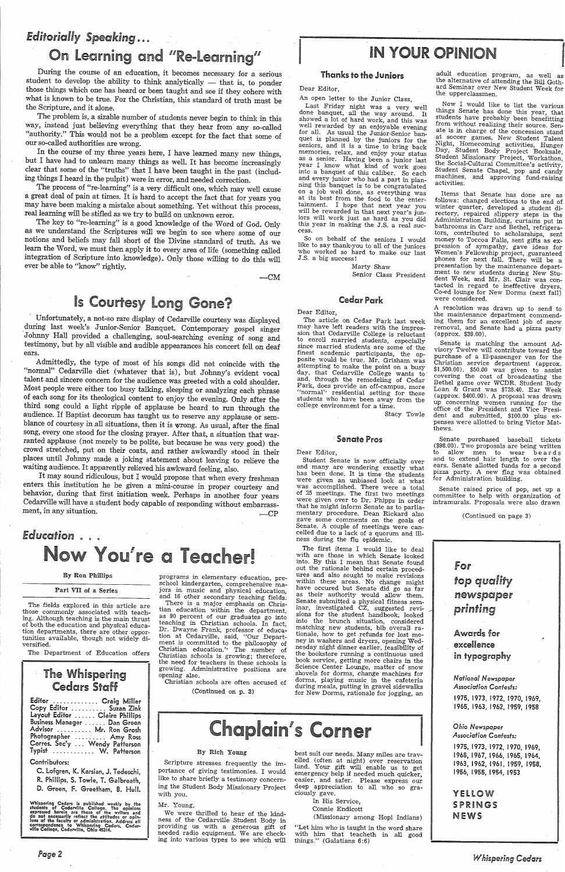## *Editorially Speaking* .....

## On Learning and "Re-Learning"

During the course of an education, it becomes necessary for a serious student to develop the ability to think analytically — that is, to ponder those things which one has heard or been taught and see if they cohere with wh the Scripture, and it alone.

The problem is, a sizable number of students never begin to think in this way, instead just believing everything that they hear from any so-called "authority." This would not be a problem except for the fact that some of

our so-called authorities are wrong.<br>In the course of my three years here, I have learned many new things, but I have had to unlearn many things as well. It has become increasingly clear that some of the "truths" that I have been taught in the past (including things I heard in the pulpit) were in error, and needed correction.

as we understand the Scriptures will we begin to see where some of our notions and beliefs may fall short of the Divine standard of truth. As we integration of Scripture into knowledge). Only those willing to do this will ever be able to "know" rightly.

 $-CM$ 

Unfortunately, a not-so rare display of Cedarville courtesy was displayed<br>during last week's Junior-Senior Banquet. Contemporary gospel singer<br>Johnny Hall provided a challenging, soul-searching evening of song and<br>testimon ears.

Admittedly, the type of most of his songs did not coincide with the "normal" Cedarville diet (whatever that is), but Johnny's evident vocal talent and sincere concern for the audience was greeted with a cold shoulder.<br>Most people were either too busy talking, sleeping or analyzing each phrase<br>of each song for its theological content to enjoy the evening. Only song, every one stood for the closing prayer. After that, a situation that war-<br>ranted applause (not merely to be polite, but because he was very good) the crowd stretched, put on their coats, and rather awkwardly stood in their places until Johnny made a joking statement about leaving to relieve the

waiting audience. It apparently relieved his awkward feeling, also.<br>It may sound ridiculous, but I would propose that when every freshman<br>enters this institution he be given a mini-course in proper courtesy and<br>behavior, d Cedarville will have a student body capable of responding without embarrassment, in any situation.

The process of "re-learning" is a very difficult one, which may well cause a great deal of pain at times. It is hard to accept the fact that for years you may have been making a mistake about something. Yet without this process, real learning will be stifled as we try to build on unknown error.

## *Education* . . .. ou're a Teacher!

## Is Courtesy Long Gone?

The fields explored in this article are those commonly associated with teaching. Although teaching is the main thrust tion departments, there are other opportunities available, though not widely diversified.

programs in elementary education, pre-<br>school kindergarten, comprehensive ma-<br>jors in music and physical education,<br>and 16 other secondary teaching fields. There is a major emphasis on Christian education within the department, as 90 percent of our graduates go into teaching in Christian schools. In fact, Dr. Dwayne Frank, professor of educa tion at Cedarville, said, "Our Depart-

## IN YOUR OPINION

ment is committed to the philosophy of Christian education.'' The number of Christian schools is growing; therefore, the need for teachers in these schools is growing. Administrative positions are opening also.

An open letter to the Junior Class,<br>Last Friday night was a very well done banquet, all the way around. It showed a lot of hard work, and this was<br>well rewarded by an enjoyable evening for all. As usual the Junior-Senior banquet is planned by the juniors for the<br>seniors, and it is a time to bring back memories, relax, and enjoy your status as a senior. Having been a junior last into a banquet of this caliber. So each and every junior who had a part in plan- ning this banquet is to be congratulated on a job well done, as everything was at its best from the food to the enter-<br>tainment. I hope that next year you will be rewarded in that next year's jun-<br>iors will work just as hard as you did<br>this year in making the J.S. a real success ..

Dear Editor,<br>Student Senate is now officially over and many are wondering exactly what has been done. It is time the students were given an unbiased look at what was accomplished. There were a total of 25 meetings. The first two meetings that he might inform Senate as to parliamentary procedure. Dean Rickard also<br>gave some comments on the goals of Senate. A couple of meetings were can-<br>celled due to a lack of a quorum and illness during the flu epidemic.

The first items I would like to deal with are those in which Senate looked into. By this I mean that Senate found out the rationale behind certain procedures and also sought to make revisions<br>within these areas. No change might have occured but Senate did go as far as their authority would allow them.<br>Senate submitted a physical fitness sem-Senate submitted approximated approximated approximated cz, suggested revi-<br>sions for the student handbook; looked<br>into the brunch situation, considered matching new students, bib overall rationale, how to get refunds for lost money in washers and dryers, opening Wed- nesday night dinner earlier, feasibility of the bookstore running a continuous used book service, getting more chairs in the Science Center Lounge, matter of snow<br>shovels for dorms, change machines for dorms, playing music in the cafeteria during meals, putting in gravel sidewalks for New Dorms, rationale for jogging, an

#### By Ron Phillips

#### Part VII of a Series

The Department of Education offers

### The Whispering Cedars Staff

<sup>A</sup>resolution was drawn up to send to the maintenance department commend ing them for an excellent job of snow removal, and Senate had a pizza party<br>(approx. \$39.00).

Christian schools are often accused of (Continued on p. 3)

## Chaplain's Corner ... . . . . . . Ohio Newspaper **Chaplain's Correst Correst** ...

#### Thanks to the Juniors

Dear Editor,

| Editor  Craig Miller           |  |
|--------------------------------|--|
| Copy Editor  Suzan Zink        |  |
| Layout Editor  Claire Phillips |  |
| Business Manager  Dan Green    |  |
| Advisor  Mr. Ron Grosh         |  |
| Photographer  Amy Ross         |  |
| Corres. Sec'y  Wendy Patterson |  |
| Typist  W. Patterson           |  |

So on behalf of the seniors I would like to say thank-you to all of the juniors who worked so hard to make our last J.S. a big success!

Marty Shaw

Senior Class President

#### Cedar Park

Dear Editor,

best suit our needs. Many miles are trav- elled (often at night) over reservation land. Your gift will enable us to get<br>emergency help if needed much quicker, easier, and safer. Please express our deep appreciation to all who so gra-<br>ciously gave.

''Let him who is taught *in* the word share with him that teacheth in all good things." (Galatians 6:6)

The article on Cedar Park last week may have left readers with the impression that Cedarville College is reluctant<br>to enroll married students, especially since married students are some of the<br>finest academic participants, the opposite would be true. Mr. Grisham was<br>attempting to make the point on a busy day, that Cedarville College wants to and, through the remodeling of Cedar Park, does provide an off-campus, more "normal" residential setting for those students who have been away from the college environment for a time.

Stacy Towle

#### Senate Pros

adult education program, as well as ard Seminar over New Student Week for the upperclassmen.

Now I would like to list the various<br>things Senate has done this year, that students have probably been benefitting<br>from without realizing their source. Senate is in charge of the concession stand at soccer games, New Student Talent<br>Night, Homecoming activities, Hunger Day, Student Body Project Booksale,<br>Student Missionary Project, Workathon, the Social-Cultural Committee's activity, Student Senate Chapel, pop and candy machines, and approving fund-raising activities.

Items that Senate has done are as follows: changed elections to the end of winter quarter, developed a student di-<br>rectory, repaired slippery steps in the Administration Building, curtains put in<br>bathrooms in Carr and Bethel, refrigerators, contributed to scholarships, sent<br>money to Toccoa Falls, sent gifts as exmoney to Toccoa Falls, server ideas for Women's Fellowship project, guaranteed phones for next fall. There will be <sup>a</sup> presentation by the maintenance depart-<br>ment to new students during New Student Week, and Mr. St. Clair was contacted in regard to ineffective dryers, Co-ed lounge for New Dorms (next fall) were considered.

Senate is matching the amount Advisory Twelve will contribute toward the purchase of a 12-passenger van for the Christian service department (approx. \$1,500.00). \$50.00 was given to assist covering the cost of broadcasting the Bethel game over WCDR. Student Body<br>Loan & Grant was \$728.40. Ear Week (approx. \$400.00). A proposal was drawn office of the President and Vice President and submitted, \$100.00 plus expenses were allotted to bring Victor Matthews.

Senate purchased baseball tickets (\$98.00). Two proposals are being written to allow men to wear beards and to extend hair length to over the ears. Senate allotted funds for a second <sup>p</sup>izza party. A new flag was obtained for Administration building.

Senate raised price of pop, set up <sup>a</sup>committee to help with organization of intramurals. Proposals were also drawn

(Continued on page 3)



#### excellence in typography

*Notional Newspaper Association Contests:* 

1975, 1973, 1972, 1970, 1969, 1965, 1963, 1962, 1959, 1958

#### Contributors:

C. Lofgren, K. Karsian, J, Tedeschi, R. Phillips, S. Towle, T. Galbreath, D. Green, F. Greetham, B. Hull.

Whispering Cedars is published weekly by the students of Cedarville College. The opinions expressed herein are those of the writers and do not necessarily reflect the attitudes or opinions of the faculty or administration.

*Page2* 

#### By Rich Young

Scripture stresses frequently the importance of giving testimonies. I would like to share briefly a testimony concerning the Student Body Missionary Project with you.

#### Mr. Young,

We were thrilled to hear of the kindness of the Cedarville Student Body in providing us with <sup>a</sup>generous gift of needed radio equipment. We are check ing into various types to see which will In His Service, Connie Endicott

(Missionary among Hopi Indians)

1975, 1973, 1972, 1970, 1969, 1968, 1967, 1966, 1965, 1964, 1963, 1962, 1961, 1959, 1958, 1956, 1955, 1954, 1953

**YELLOW** SPRINGS **NEWS**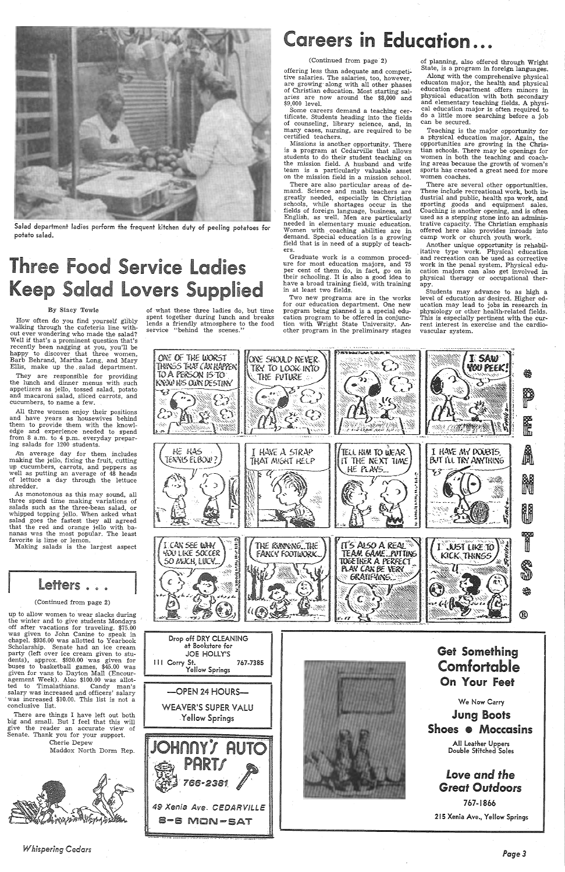## (Continued from page 2)

offering less than adequate and competi~ tive salaries. The salaries, too, however, are growing· along with all other phases of Christian education. Most starting salaries are now around the \$8,000 and \$9,000 level.

**Careers in Education...** 

Some careers demand a teaching certificate. Students heading into the fields of counseling, library science, and, in many cases, nursing, are required to be certified teachers.

Missions is another opportunity. There is a program at Cedarville that allows students to do their student teaching on the mission field. A husband and wife team is a particularly valuable asset on the mission field in a mission school.



Salad department ladies perform the frequent kitchen duty of peeling potatoes for potato salad.

## Three Food Service Ladies Keep Salad Lovers Supplied

How often do you find yourself glibly walking through the cafeteria line without ever wondering who made the salad? Well if that's a prominent question that's recently been nagging at you, you'll be happy to discover that three women, Barb Behrand, Martha Long, and Mary Ellis, make up the . salad department.

There are also particular areas of demand. Science and math teachers are greatly needed, especially in Christian schools, while shortages occur in the fields of foreign language, business, and English, as well. Men are particularly needed in elementary music education. Women with coaching abilities are in demand. Special education is a growing field that is in need of a supply of teachers.

An average day for them includes making the jello, fixing the fruit, cutting up cucumbers, carrots, and peppers as well as putting an average of 48 heads of lettuce a day through the lettuce shredder.

As monotonous as this may sound, all three spend time making variations of salads such as the three-bean salad, or whipped topping jello. When asked what salad goes the fastest they all agreed that the red and orange jello with bananas was the most popular. The least favorite is lime or lemon.

#### By Stacy Towle

chapel.  $$936.00$  was allotted to Scholarship. Senate had an ice cream party (left over ice cream given to students), approx. \$930.00 was given for buses to basketball games, \$45.00 was given for vans to Dayton Mall (Encouragement Week). Also \$100.00 was allotted to Timalathians. Candy man's salary was increased and officers' salary was increased \$10.00. This list is not a conclusive list.

They are responsible for providing the lunch and dinner menus with such appetizers as jello, tossed salad, potato and macaroni salad, sliced carrots, and cucumbers, to name a few.

of what these three ladies do, but time spent together during lunch and breaks lends a friendly atmosphere to the food service "behind the scenes."

All three women enjoy their positions and have years as housewives behind them to provide them with the knowledge and experience needed to spend from 8 a.m. to 4 p.m. everyday preparing salads for 1200 students.

of planning, also offered through Wright State, is a program in foreign languages.

Making salads is the largest aspect

Letters . . .

(Continued from page 2) up to allow women to wear slacks during the winter and to give students Mondays off after vacations for traveling. \$75.00 was given to John Canine to speak in

There are things I have left out both big and small. But I feel that this will give the reader an accurate view of Senate. Thank you for your support.

Cherie Depew Maddox North Dorm Rep.



Graduate work is a common procedure for most education majors, and 75 per cent of them do, in fact, go on in their schooling. It is also a good idea to have a broad training field, with training in at least two fields.

Two new programs are in the works for our education department. One new program being planned is a special education program to be offered in conjunction with Wright State University. Another program in the preliminary stages



·---·--

Along with the comprehensive physical educaton major, the health and physical education department offers minors in <sup>p</sup>hysical education with both secondary and elementary teaching fields. A physical education major is often required to do a little more searching before a job can be secured.

Teaching is the major opportunity for a physical education major. Again, the opportunities are growing in the Christian schools. There may be openings for women in both the teaching and coaching areas because the growth of women's sports has created a great need for more women coaches.

 There are several other opportunities. These include recreational work, both industrial and public, health spa work, and sporting goods and equipment sales. Coaching is another opening, and is often used as a stepping stone into an administrative capacity. The Christian emphasis offered here also provides inroads into camp work or church youth work.

Another unique opportunity is rehabil- . itative type work. Physical education and recreation can be used as corrective work in the penal system. Physical education majors can also get involved in physical therapy or occupational therapy.

Students may advance to as high <sup>a</sup> level of education as· desired. Higher education may lead to jobs in research in physiology or other health-related fields. This is especially pertinent with the current interest in exercise and the cardiovascular system.